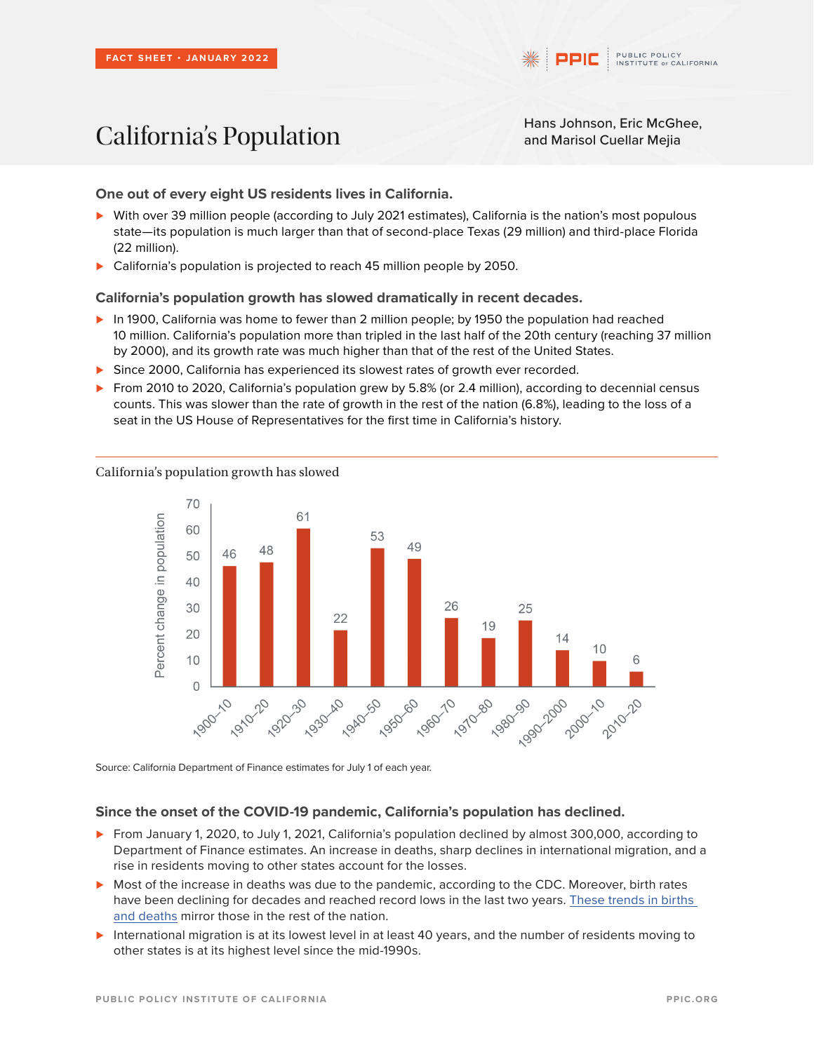# California's Population<br>
California's Population<br>
Hans Johnson, Eric McGhee,<br>
and Marisol Cuellar Mejia

and Marisol Cuellar Mejia

**One out of every eight US residents lives in California.**

- *⊲* With over 39 million people (according to July 2021 estimates), California is the nation's most populous state—its population is much larger than that of second-place Texas (29 million) and third-place Florida (22 million).
- *⊲* California's population is projected to reach 45 million people by 2050.

**California's population growth has slowed dramatically in recent decades.**

- *⊲* In 1900, California was home to fewer than 2 million people; by 1950 the population had reached 10 million. California's population more than tripled in the last half of the 20th century (reaching 37 million by 2000), and its growth rate was much higher than that of the rest of the United States.
- **►** Since 2000, California has experienced its slowest rates of growth ever recorded.
- *⊲* From 2010 to 2020, California's population grew by 5.8% (or 2.4 million), according to decennial census counts. This was slower than the rate of growth in the rest of the nation (6.8%), leading to the loss of a seat in the US House of Representatives for the first time in California's history.



California's population growth has slowed

Source: California Department of Finance estimates for July 1 of each year.

## **Since the onset of the COVID-19 pandemic, California's population has declined.**

- *⊲* From January 1, 2020, to July 1, 2021, California's population declined by almost 300,000, according to Department of Finance estimates. An increase in deaths, sharp declines in international migration, and a rise in residents moving to other states account for the losses.
- *⊲* Most of the increase in deaths was due to the pandemic, according to the CDC. Moreover, birth rates have been declining for decades and reached record lows in the last two years. [These trends in births](https://www.ppic.org/blog/californias-new-baby-bust/)  [and deaths](https://www.ppic.org/blog/californias-new-baby-bust/) mirror those in the rest of the nation.
- *⊲* International migration is at its lowest level in at least 40 years, and the number of residents moving to other states is at its highest level since the mid-1990s.